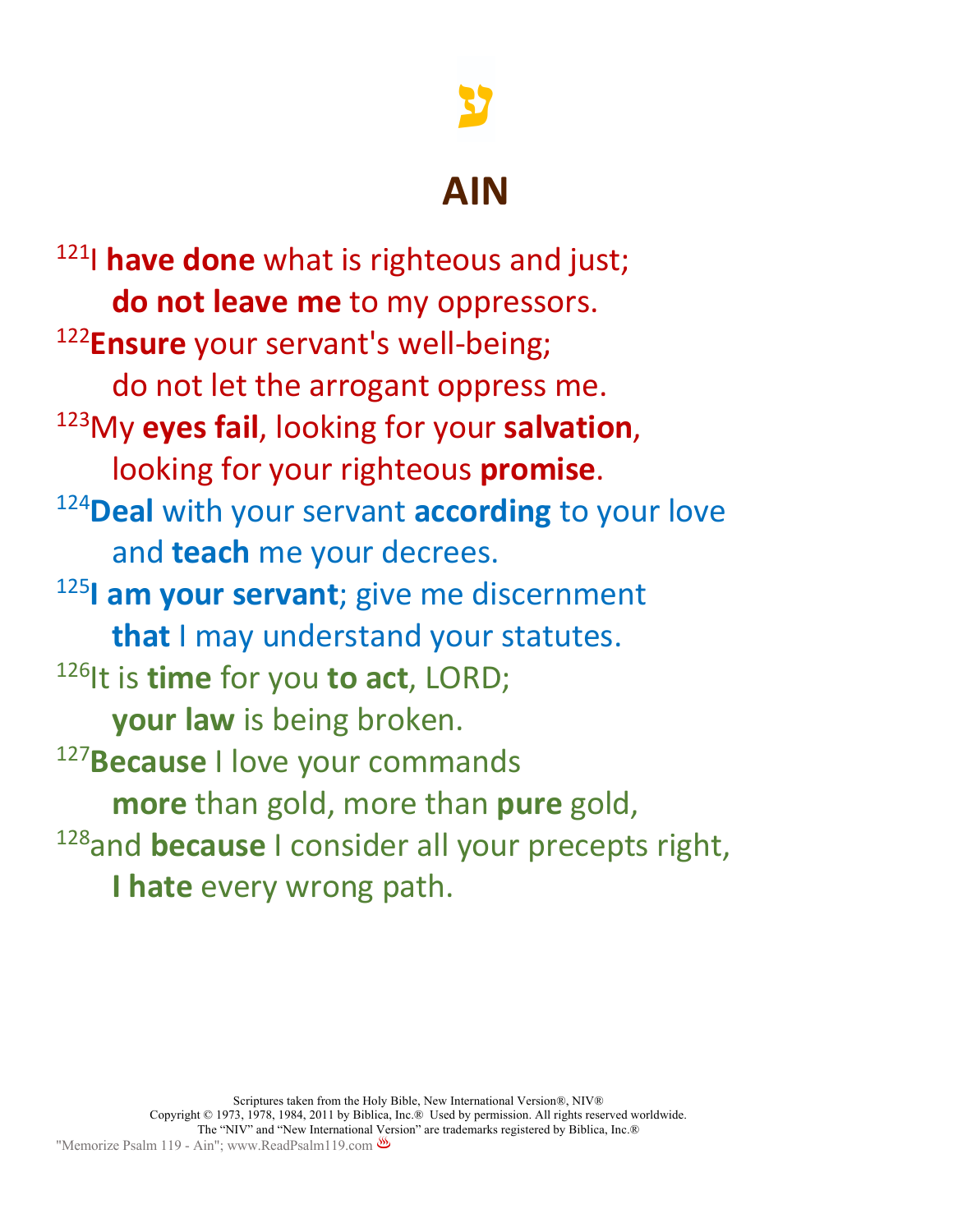# **ע**

## **AIN**

121I **have done** what is righteous and just; **do not leave me** to my oppressors. <sup>122</sup>**Ensure** your servant's well-being; do not let the arrogant oppress me. 123My **eyes fail**, looking for your **salvation**, looking for your righteous **promise**. 124 **Deal** with your servant **according** to your love and **teach** me your decrees. <sup>125</sup>**I am your servant**; give me discernment **that** I may understand your statutes. 126It is **time** for you **to act**, LORD; **your law** is being broken. <sup>127</sup>**Because** I love your commands **more** than gold, more than **pure** gold, 128 and **because** I consider all your precepts right, **I hate** every wrong path.